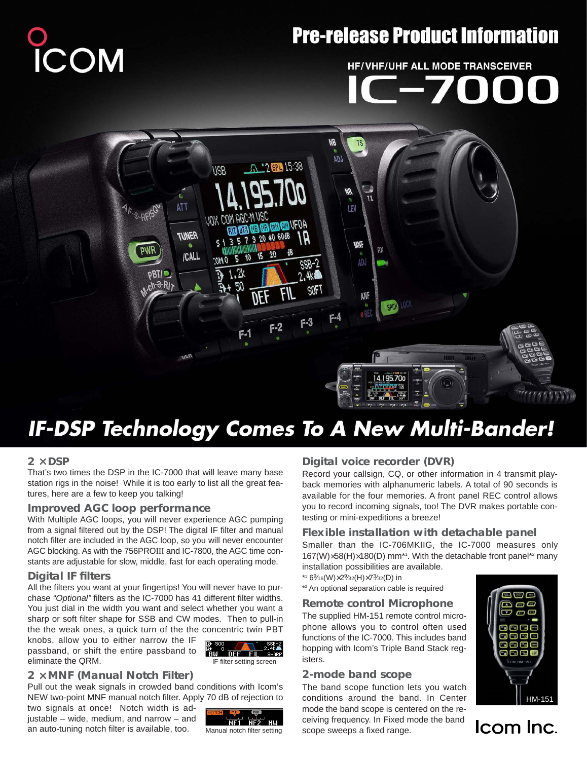# COM

## **Pre-release Product Information**

# **HF/VHF/UHF ALL MODE TRANSCEIVER**



# **IF-DSP Technology Comes To A New Multi-Bander!**

#### **2** × **DSP**

That's two times the DSP in the IC-7000 that will leave many base station rigs in the noise! While it is too early to list all the great features, here are a few to keep you talking!

#### **Improved AGC loop performance**

With Multiple AGC loops, you will never experience AGC pumping from a signal filtered out by the DSP! The digital IF filter and manual notch filter are included in the AGC loop, so you will never encounter AGC blocking. As with the 756PROIII and IC-7800, the AGC time constants are adjustable for slow, middle, fast for each operating mode.

#### **Digital IF filters**

All the filters you want at your fingertips! You will never have to purchase "Optional" filters as the IC-7000 has 41 different filter widths. You just dial in the width you want and select whether you want a sharp or soft filter shape for SSB and CW modes. Then to pull-in the the weak ones, a quick turn of the the concentric twin PBT

knobs, allow you to either narrow the IF passband, or shift the entire passband to eliminate the QRM.



#### **2** × **MNF (Manual Notch Filter)**

Pull out the weak signals in crowded band conditions with Icom's NEW two-point MNF manual notch filter. Apply 70 dB of rejection to

two signals at once! Notch width is adjustable – wide, medium, and narrow – and an auto-tuning notch filter is available, too.



Manual notch filter setting

### **Digital voice recorder (DVR)**

Record your callsign, CQ, or other information in 4 transmit playback memories with alphanumeric labels. A total of 90 seconds is available for the four memories. A front panel REC control allows you to record incoming signals, too! The DVR makes portable contesting or mini-expeditions a breeze!

#### **Flexible installation with detachable panel**

Smaller than the IC-706MKIIG, the IC-7000 measures only 167(W)×58(H)×180(D) mm\*1 . With the detachable front panel\*2 many installation possibilities are available.

- \*1 69⁄16(W)×29⁄32(H)×73⁄32(D) in
- \*2 An optional separation cable is required

#### **Remote control Microphone**

The supplied HM-151 remote control microphone allows you to control often used functions of the IC-7000. This includes band hopping with Icom's Triple Band Stack registers.

#### **2-mode band scope**

The band scope function lets you watch conditions around the band. In Center mode the band scope is centered on the receiving frequency. In Fixed mode the band scope sweeps a fixed range.



Icom Inc.